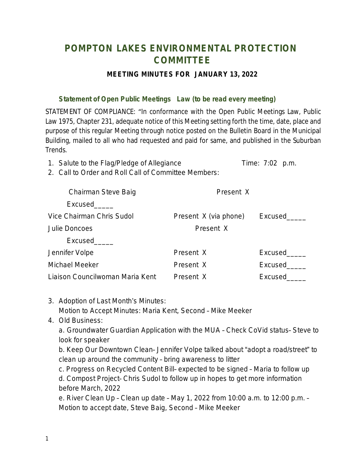## **POMPTON LAKES ENVIRONMENTAL PROTECTION COMMITTEE**

## **MEETING MINUTES FOR JANUARY 13, 2022**

## **Statement of Open Public Meetings Law (to be read every meeting)**

STATEMENT OF COMPLIANCE: "In conformance with the Open Public Meetings Law, Public Law 1975, Chapter 231, adequate notice of this Meeting setting forth the time, date, place and purpose of this regular Meeting through notice posted on the Bulletin Board in the Municipal Building, mailed to all who had requested and paid for same, and published in the Suburban Trends.

1. Salute to the Flag/Pledge of Allegiance Time: 7:02 p.m.

2. Call to Order and Roll Call of Committee Members:

| Chairman Steve Baig             | Present X             |         |
|---------------------------------|-----------------------|---------|
| Excused                         |                       |         |
| Vice Chairman Chris Sudol       | Present X (via phone) | Excused |
| Julie Doncoes                   | Present X             |         |
| Excused                         |                       |         |
| Jennifer Volpe                  | Present X             | Excused |
| Michael Meeker                  | Present X             | Excused |
| Liaison Councilwoman Maria Kent | Present X             | Excused |

- 3. Adoption of Last Month's Minutes: Motion to Accept Minutes: Maria Kent, Second – Mike Meeker
- 4. Old Business:

a. Groundwater Guardian Application with the MUA – Check CoVid status– Steve to look for speaker

b. Keep Our Downtown Clean– Jennifer Volpe talked about "adopt a road/street" to clean up around the community – bring awareness to litter

c. Progress on Recycled Content Bill– expected to be signed – Maria to follow up d. Compost Project– Chris Sudol to follow up in hopes to get more information before March, 2022

e. River Clean Up – Clean up date – May 1, 2022 from 10:00 a.m. to 12:00 p.m. – Motion to accept date, Steve Baig, Second – Mike Meeker